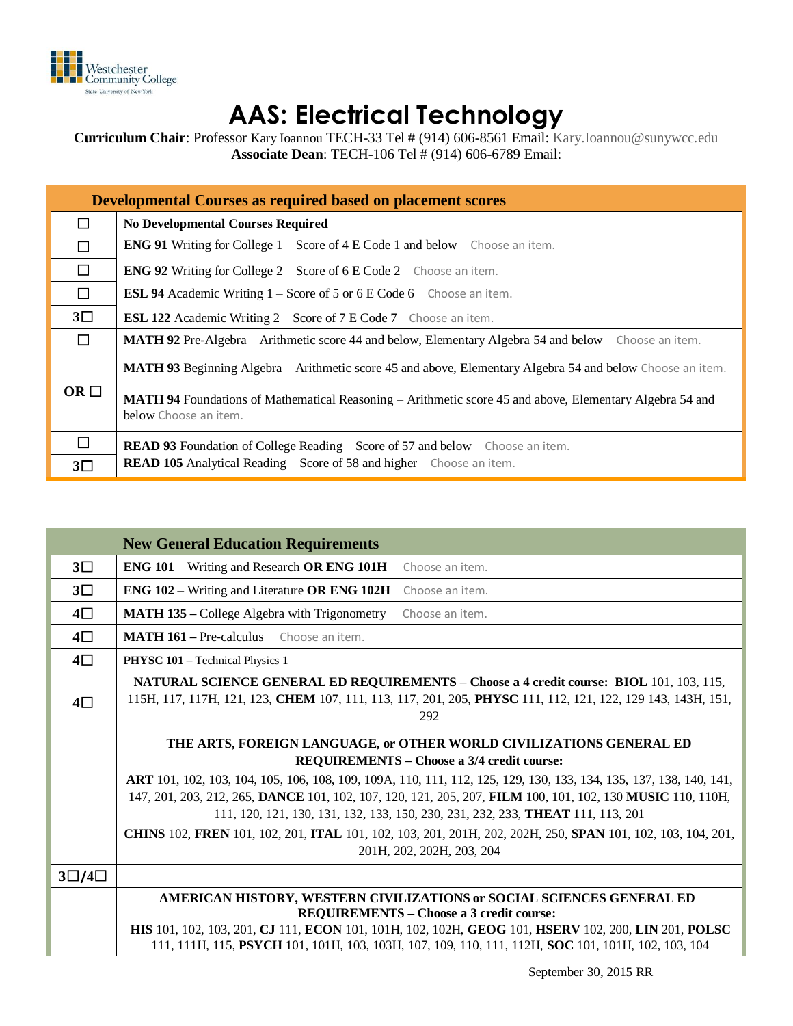

## **AAS: Electrical Technology**

**Curriculum Chair**: Professor Kary Ioannou TECH-33 Tel # (914) 606-8561 Email: [Kary.Ioannou@sunywcc.edu](mailto:Kary.Ioannou@sunywcc.edu) **Associate Dean**: TECH-106 Tel # (914) 606-6789 Email:

| <b>Developmental Courses as required based on placement scores</b> |                                                                                                                                   |  |  |  |  |  |
|--------------------------------------------------------------------|-----------------------------------------------------------------------------------------------------------------------------------|--|--|--|--|--|
| П                                                                  | <b>No Developmental Courses Required</b>                                                                                          |  |  |  |  |  |
| П                                                                  | <b>ENG 91</b> Writing for College $1 -$ Score of $4 \text{ E Code } 1$ and below Choose an item.                                  |  |  |  |  |  |
| $\Box$                                                             | <b>ENG 92</b> Writing for College $2 -$ Score of 6 E Code 2 Choose an item.                                                       |  |  |  |  |  |
| $\Box$                                                             | <b>ESL 94</b> Academic Writing 1 – Score of 5 or 6 E Code 6 Choose an item.                                                       |  |  |  |  |  |
| $3\square$                                                         | <b>ESL 122</b> Academic Writing 2 – Score of 7 E Code 7 Choose an item.                                                           |  |  |  |  |  |
| П                                                                  | MATH 92 Pre-Algebra – Arithmetic score 44 and below, Elementary Algebra 54 and below Choose an item.                              |  |  |  |  |  |
|                                                                    | <b>MATH 93</b> Beginning Algebra – Arithmetic score 45 and above, Elementary Algebra 54 and below Choose an item.                 |  |  |  |  |  |
| OR $\Box$                                                          | MATH 94 Foundations of Mathematical Reasoning – Arithmetic score 45 and above, Elementary Algebra 54 and<br>below Choose an item. |  |  |  |  |  |
| $\Box$                                                             | <b>READ 93</b> Foundation of College Reading – Score of 57 and below Choose an item.                                              |  |  |  |  |  |
| $3\square$                                                         | <b>READ 105</b> Analytical Reading – Score of 58 and higher Choose an item.                                                       |  |  |  |  |  |

| <b>New General Education Requirements</b>                                                                                                                                                                            |  |  |  |  |  |  |
|----------------------------------------------------------------------------------------------------------------------------------------------------------------------------------------------------------------------|--|--|--|--|--|--|
| ENG 101 – Writing and Research OR ENG 101H<br>Choose an item.                                                                                                                                                        |  |  |  |  |  |  |
| ENG 102 - Writing and Literature OR ENG 102H<br>Choose an item.                                                                                                                                                      |  |  |  |  |  |  |
| <b>MATH 135 – College Algebra with Trigonometry</b><br>Choose an item.                                                                                                                                               |  |  |  |  |  |  |
| <b>MATH 161</b> – Pre-calculus<br>Choose an item.                                                                                                                                                                    |  |  |  |  |  |  |
| <b>PHYSC 101</b> – Technical Physics 1                                                                                                                                                                               |  |  |  |  |  |  |
| <b>NATURAL SCIENCE GENERAL ED REQUIREMENTS - Choose a 4 credit course: BIOL 101, 103, 115,</b><br>115H, 117, 117H, 121, 123, CHEM 107, 111, 113, 117, 201, 205, PHYSC 111, 112, 121, 122, 129 143, 143H, 151,<br>292 |  |  |  |  |  |  |
| THE ARTS, FOREIGN LANGUAGE, or OTHER WORLD CIVILIZATIONS GENERAL ED                                                                                                                                                  |  |  |  |  |  |  |
| <b>REQUIREMENTS - Choose a 3/4 credit course:</b>                                                                                                                                                                    |  |  |  |  |  |  |
| ART 101, 102, 103, 104, 105, 106, 108, 109, 109A, 110, 111, 112, 125, 129, 130, 133, 134, 135, 137, 138, 140, 141,                                                                                                   |  |  |  |  |  |  |
| 147, 201, 203, 212, 265, DANCE 101, 102, 107, 120, 121, 205, 207, FILM 100, 101, 102, 130 MUSIC 110, 110H,<br>111, 120, 121, 130, 131, 132, 133, 150, 230, 231, 232, 233, <b>THEAT</b> 111, 113, 201                 |  |  |  |  |  |  |
| CHINS 102, FREN 101, 102, 201, ITAL 101, 102, 103, 201, 201H, 202, 202H, 250, SPAN 101, 102, 103, 104, 201,                                                                                                          |  |  |  |  |  |  |
| 201H, 202, 202H, 203, 204                                                                                                                                                                                            |  |  |  |  |  |  |
|                                                                                                                                                                                                                      |  |  |  |  |  |  |
| AMERICAN HISTORY, WESTERN CIVILIZATIONS or SOCIAL SCIENCES GENERAL ED                                                                                                                                                |  |  |  |  |  |  |
| <b>REQUIREMENTS - Choose a 3 credit course:</b>                                                                                                                                                                      |  |  |  |  |  |  |
| HIS 101, 102, 103, 201, CJ 111, ECON 101, 101H, 102, 102H, GEOG 101, HSERV 102, 200, LIN 201, POLSC<br>111, 111H, 115, PSYCH 101, 101H, 103, 103H, 107, 109, 110, 111, 112H, SOC 101, 101H, 102, 103, 104            |  |  |  |  |  |  |
|                                                                                                                                                                                                                      |  |  |  |  |  |  |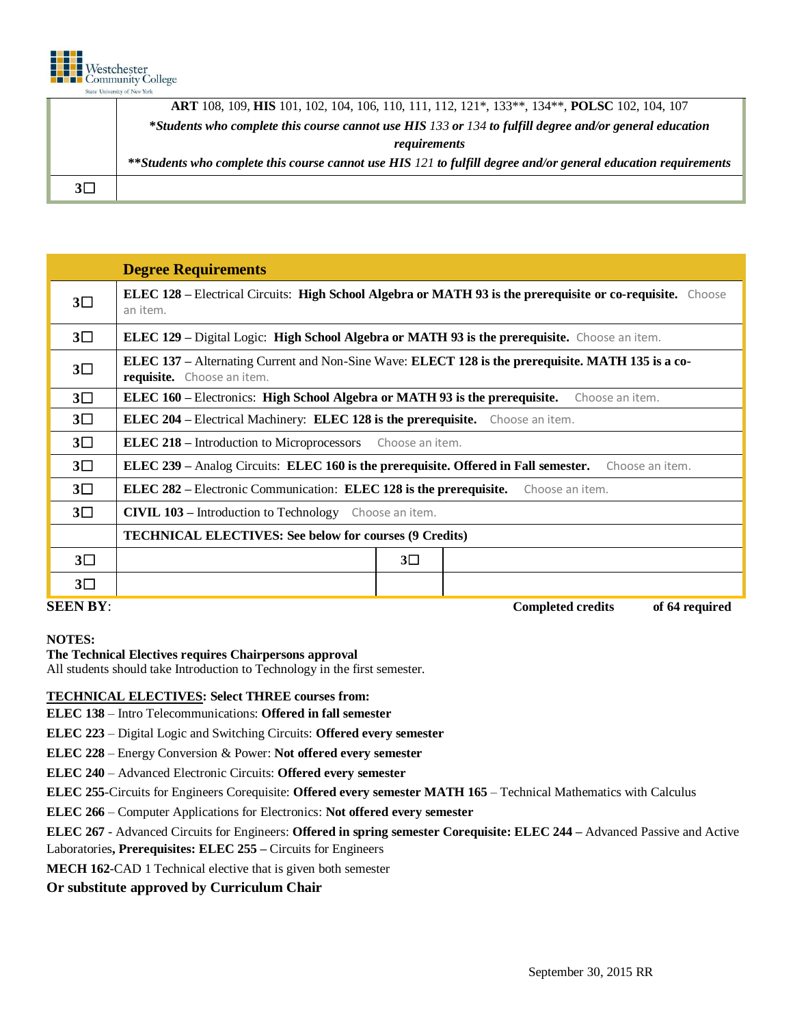

|            | <b>ART</b> 108, 109, <b>HIS</b> 101, 102, 104, 106, 110, 111, 112, 121*, 133**, 134**, <b>POLSC</b> 102, 104, 107 |  |  |  |  |  |  |
|------------|-------------------------------------------------------------------------------------------------------------------|--|--|--|--|--|--|
|            | *Students who complete this course cannot use HIS 133 or 134 to fulfill degree and/or general education           |  |  |  |  |  |  |
|            | requirements                                                                                                      |  |  |  |  |  |  |
|            | **Students who complete this course cannot use HIS 121 to fulfill degree and/or general education requirements    |  |  |  |  |  |  |
| $3\square$ |                                                                                                                   |  |  |  |  |  |  |

|                 | <b>Degree Requirements</b>                                                                                                       |  |  |  |  |  |  |  |
|-----------------|----------------------------------------------------------------------------------------------------------------------------------|--|--|--|--|--|--|--|
| $3\square$      | <b>ELEC 128</b> – Electrical Circuits: High School Algebra or MATH 93 is the prerequisite or co-requisite. Choose<br>an item.    |  |  |  |  |  |  |  |
| $3\square$      | <b>ELEC 129 – Digital Logic: High School Algebra or MATH 93 is the prerequisite.</b> Choose an item.                             |  |  |  |  |  |  |  |
| $3\square$      | ELEC 137 – Alternating Current and Non-Sine Wave: ELECT 128 is the prerequisite. MATH 135 is a co-<br>requisite. Choose an item. |  |  |  |  |  |  |  |
| $3\square$      | ELEC 160 – Electronics: High School Algebra or MATH 93 is the prerequisite.<br>Choose an item.                                   |  |  |  |  |  |  |  |
| $3\square$      | <b>ELEC 204</b> – Electrical Machinery: <b>ELEC 128 is the prerequisite.</b> Choose an item.                                     |  |  |  |  |  |  |  |
| $3\square$      | <b>ELEC 218 – Introduction to Microprocessors</b><br>Choose an item.                                                             |  |  |  |  |  |  |  |
| $3\square$      | ELEC 239 – Analog Circuits: ELEC 160 is the prerequisite. Offered in Fall semester.<br>Choose an item.                           |  |  |  |  |  |  |  |
| $3\square$      | <b>ELEC 282</b> – Electronic Communication: <b>ELEC 128</b> is the prerequisite.<br>Choose an item.                              |  |  |  |  |  |  |  |
| $3\square$      | <b>CIVIL 103 - Introduction to Technology</b> Choose an item.                                                                    |  |  |  |  |  |  |  |
|                 | <b>TECHNICAL ELECTIVES: See below for courses (9 Credits)</b>                                                                    |  |  |  |  |  |  |  |
| $3\square$      | $3\square$                                                                                                                       |  |  |  |  |  |  |  |
| $3\square$      |                                                                                                                                  |  |  |  |  |  |  |  |
| <b>SEEN BY:</b> | <b>Completed credits</b><br>of 64 required                                                                                       |  |  |  |  |  |  |  |

**NOTES:**

## **The Technical Electives requires Chairpersons approval**

All students should take Introduction to Technology in the first semester.

## **TECHNICAL ELECTIVES: Select THREE courses from:**

**ELEC 138** – Intro Telecommunications: **Offered in fall semester**

**ELEC 223** – Digital Logic and Switching Circuits: **Offered every semester**

**ELEC 228** – Energy Conversion & Power: **Not offered every semester**

**ELEC 240** – Advanced Electronic Circuits: **Offered every semester**

**ELEC 255**-Circuits for Engineers Corequisite: **Offered every semester MATH 165** – Technical Mathematics with Calculus

**ELEC 266** – Computer Applications for Electronics: **Not offered every semester**

**ELEC 267** - Advanced Circuits for Engineers: **Offered in spring semester Corequisite: ELEC 244 –** Advanced Passive and Active Laboratories**, Prerequisites: ELEC 255 –** Circuits for Engineers

**MECH 162**-CAD 1 Technical elective that is given both semester

**Or substitute approved by Curriculum Chair**